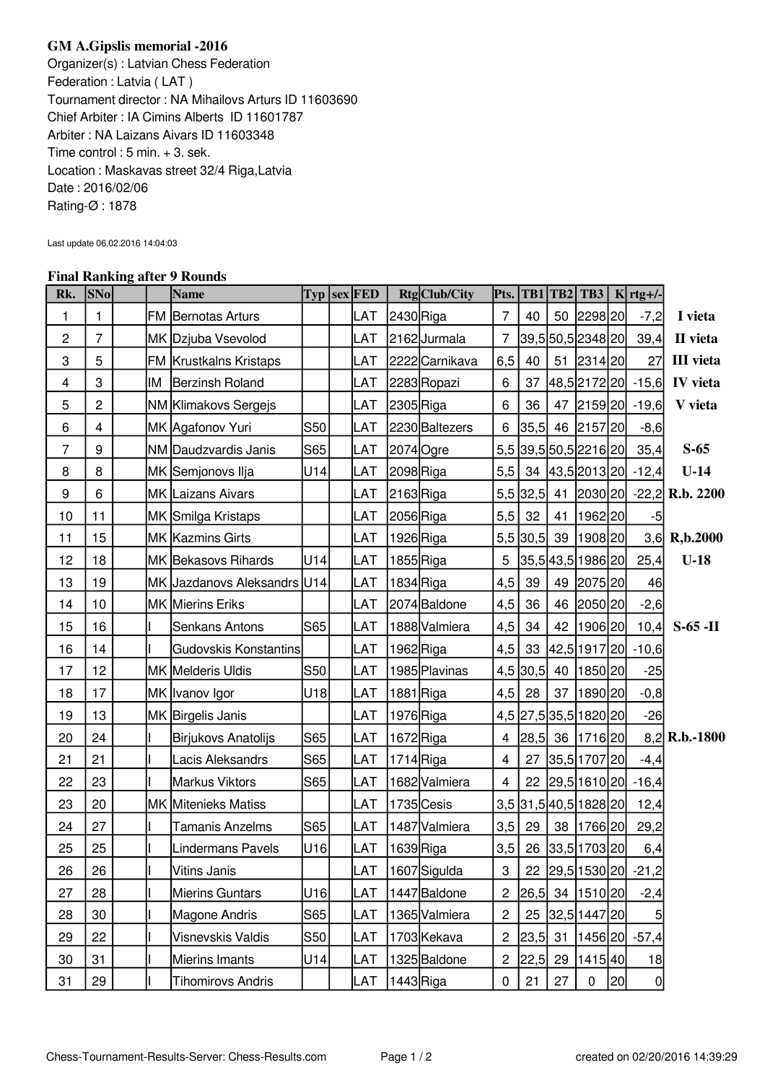## **GM A.Gipslis memorial -2016**

Organizer(s) : Latvian Chess Federation Federation : Latvia ( LAT ) Tournament director : NA Mihailovs Arturs ID 11603690 Chief Arbiter : IA Cimins Alberts ID 11601787 Arbiter : NA Laizans Aivars ID 11603348 Time control : 5 min. + 3. sek. Location : Maskavas street 32/4 Riga,Latvia Date : 2016/02/06 Rating-Ø : 1878

Last update 06.02.2016 14:04:03

## **Final Ranking after 9 Rounds**

| Rk.              | <b>SNo</b>     |    | 1 mai Ramming anch 7 Roumas<br><b>Name</b> |            | $\text{Typ}$ sex FED |           | Rtg Club/City  | Pts.             |      |    |                       |    | TB1 TB2 TB3   K rtg+/-     |                                     |
|------------------|----------------|----|--------------------------------------------|------------|----------------------|-----------|----------------|------------------|------|----|-----------------------|----|----------------------------|-------------------------------------|
| 1                | 1              |    | <b>FM Bernotas Arturs</b>                  |            | LAT                  | 2430 Riga |                | $\overline{7}$   | 40   |    | 50 2298 20            |    | $-7,2$                     | I vieta                             |
| $\overline{c}$   | $\overline{7}$ |    | MK Dzjuba Vsevolod                         |            | LAT                  |           | 2162Jurmala    | $\overline{7}$   |      |    | 39,5 50,5 2348 20     |    | 39,4                       | II vieta                            |
| 3                | 5              |    | FM Krustkalns Kristaps                     |            | LAT                  |           | 2222 Carnikava | 6,5              | 40   |    | 51 2314 20            |    | 27                         | <b>III</b> vieta                    |
| 4                | 3              | ΙM | <b>Berzinsh Roland</b>                     |            | LAT                  |           | 2283 Ropazi    | 6                | 37   |    |                       |    | [48,5]2172[20] -15,6]      | <b>IV</b> vieta                     |
| 5                | $\overline{c}$ |    | NM Klimakovs Sergejs                       |            | LAT                  | 2305 Riga |                | 6                | 36   |    |                       |    | 47 2159 20 -19,6           | V vieta                             |
| 6                | $\overline{4}$ |    | MK Agafonov Yuri                           | <b>S50</b> | LAT                  |           | 2230 Baltezers | 6                | 35,5 |    | 46 2157 20            |    | $-8,6$                     |                                     |
| $\overline{7}$   | 9              |    | NM Daudzvardis Janis                       | S65        | LAT                  |           | 2074 Ogre      |                  |      |    |                       |    | 5,5 39,5 50,5 2216 20 35,4 | $S-65$                              |
| 8                | 8              |    | MK Semjonovs Ilja                          | U14        | LAT                  | 2098Riga  |                | 5,5              |      |    |                       |    | 34 43,5 2013 20 - 12,4     | $U-14$                              |
| $\boldsymbol{9}$ | 6              |    | MK Laizans Aivars                          |            | LAT                  | 2163 Riga |                |                  |      |    |                       |    |                            | 5,5 32,5 41 2030 20 -22,2 R.b. 2200 |
| 10               | 11             |    | MK Smilga Kristaps                         |            | LAT                  | 2056 Riga |                | 5,5              | 32   |    | 41   1962   20        |    | $-5$                       |                                     |
| 11               | 15             |    | MK Kazmins Girts                           |            | LAT                  |           | 1926 Riga      |                  |      |    | 5,5 30,5 39 1908 20   |    |                            | 3,6 R,b.2000                        |
| 12               | 18             |    | MK Bekasovs Rihards                        | U14        | LAT                  |           | $1855$ Riga    | 5                |      |    | 35,5 43,5 1986 20     |    | 25,4                       | $U-18$                              |
| 13               | 19             |    | MK Jazdanovs Aleksandrs U14                |            | LAT                  |           | 1834 Riga      | 4,5              | 39   |    | 49 2075 20            |    | 46                         |                                     |
| 14               | 10             |    | <b>MK Mierins Eriks</b>                    |            | LAT                  |           | 2074 Baldone   | 4,5              | 36   |    | 46 2050 20            |    | $-2,6$                     |                                     |
| 15               | 16             |    | Senkans Antons                             | S65        | LAT                  |           | 1888 Valmiera  | 4,5              | 34   |    | 42   1906   20        |    | 10,4                       | $S-65$ -II                          |
| 16               | 14             |    | Gudovskis Konstantins                      |            | LAT                  |           | 1962 Riga      | 4,5              |      |    |                       |    | 33 42,5 1917 20 -10,6      |                                     |
| 17               | 12             |    | MK Melderis Uldis                          | S50        | LAT                  |           | 1985 Plavinas  |                  |      |    | 4,5 30,5 40 1850 20   |    | $-25$                      |                                     |
| 18               | 17             |    | MK  Ivanov Igor                            | U18        | LAT                  |           | 1881 Riga      | 4,5              | 28   |    | 37   1890   20        |    | $-0, 8$                    |                                     |
| 19               | 13             |    | MK Birgelis Janis                          |            | LAT                  |           | 1976 Riga      |                  |      |    | 4,5 27,5 35,5 1820 20 |    | $-26$                      |                                     |
| 20               | 24             |    | Birjukovs Anatolijs                        | S65        | LAT                  |           | 1672 Riga      | 4                |      |    | 28,5 36 1716 20       |    |                            | $8,2$ R.b.-1800                     |
| 21               | 21             |    | Lacis Aleksandrs                           | S65        | LAT                  |           | $1714$ Riga    | 4                |      |    | 27 35,5 1707 20       |    | $-4,4$                     |                                     |
| 22               | 23             |    | Markus Viktors                             | S65        | LAT                  |           | 1682 Valmiera  | $\overline{4}$   |      |    |                       |    | 22 29,5 1610 20 - 16,4     |                                     |
| 23               | 20             |    | MK Mitenieks Matiss                        |            | LAT                  |           | 1735 Cesis     |                  |      |    | 3,5 31,5 40,5 1828 20 |    | 12,4                       |                                     |
| 24               | 27             |    | <b>Tamanis Anzelms</b>                     | S65        | LAT                  |           | 1487 Valmiera  | 3,5              | 29   |    | 38   1766   20        |    | 29,2                       |                                     |
| 25               | 25             |    | Lindermans Pavels                          | U16        | LAT                  | 1639Riga  |                | 3,5              |      |    | 26 33,5 1703 20       |    | 6,4                        |                                     |
| 26               | 26             |    | Vitins Janis                               |            | LAT                  |           | 1607 Sigulda   | $\boldsymbol{3}$ |      |    |                       |    | 22 29,5 1530 20 -21,2      |                                     |
| 27               | 28             |    | Mierins Guntars                            | U16        | LAT                  |           | 1447 Baldone   | $\boldsymbol{2}$ | 26,5 |    | 34   1510   20        |    | $-2,4$                     |                                     |
| 28               | 30             |    | Magone Andris                              | S65        | LAT                  |           | 1365 Valmiera  | $\overline{c}$   | 25   |    | 32,5 1447 20          |    | 5                          |                                     |
| 29               | 22             |    | Visnevskis Valdis                          | S50        | LAT                  |           | 1703 Kekava    | $\overline{c}$   | 23,5 | 31 |                       |    | $ 1456 20 $ -57,4          |                                     |
| 30               | 31             |    | Mierins Imants                             | U14        | LAT                  |           | 1325 Baldone   | $\overline{c}$   | 22,5 | 29 | 1415 40               |    | 18                         |                                     |
| 31               | 29             |    | <b>Tihomirovs Andris</b>                   |            | LAT                  |           | 1443 Riga      | $\pmb{0}$        | 21   | 27 | $\pmb{0}$             | 20 | 0                          |                                     |